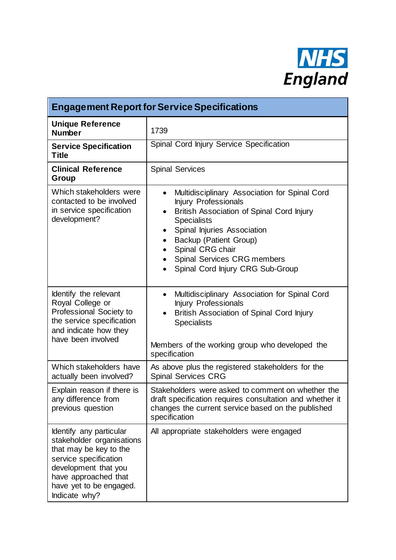

| <b>Engagement Report for Service Specifications</b>                                                                                                                                                 |                                                                                                                                                                                                                                                                                                                                                                        |
|-----------------------------------------------------------------------------------------------------------------------------------------------------------------------------------------------------|------------------------------------------------------------------------------------------------------------------------------------------------------------------------------------------------------------------------------------------------------------------------------------------------------------------------------------------------------------------------|
| <b>Unique Reference</b><br><b>Number</b>                                                                                                                                                            | 1739                                                                                                                                                                                                                                                                                                                                                                   |
| <b>Service Specification</b><br>Title                                                                                                                                                               | Spinal Cord Injury Service Specification                                                                                                                                                                                                                                                                                                                               |
| <b>Clinical Reference</b><br>Group                                                                                                                                                                  | <b>Spinal Services</b>                                                                                                                                                                                                                                                                                                                                                 |
| Which stakeholders were<br>contacted to be involved<br>in service specification<br>development?                                                                                                     | Multidisciplinary Association for Spinal Cord<br>$\bullet$<br>Injury Professionals<br>British Association of Spinal Cord Injury<br>$\bullet$<br><b>Specialists</b><br>Spinal Injuries Association<br>$\bullet$<br>Backup (Patient Group)<br>$\bullet$<br>Spinal CRG chair<br>$\bullet$<br>Spinal Services CRG members<br>Spinal Cord Injury CRG Sub-Group<br>$\bullet$ |
| Identify the relevant<br>Royal College or<br>Professional Society to<br>the service specification<br>and indicate how they<br>have been involved                                                    | Multidisciplinary Association for Spinal Cord<br>$\bullet$<br><b>Injury Professionals</b><br>British Association of Spinal Cord Injury<br>$\bullet$<br><b>Specialists</b><br>Members of the working group who developed the<br>specification                                                                                                                           |
| Which stakeholders have<br>actually been involved?                                                                                                                                                  | As above plus the registered stakeholders for the<br><b>Spinal Services CRG</b>                                                                                                                                                                                                                                                                                        |
| Explain reason if there is<br>any difference from<br>previous question                                                                                                                              | Stakeholders were asked to comment on whether the<br>draft specification requires consultation and whether it<br>changes the current service based on the published<br>specification                                                                                                                                                                                   |
| Identify any particular<br>stakeholder organisations<br>that may be key to the<br>service specification<br>development that you<br>have approached that<br>have yet to be engaged.<br>Indicate why? | All appropriate stakeholders were engaged                                                                                                                                                                                                                                                                                                                              |